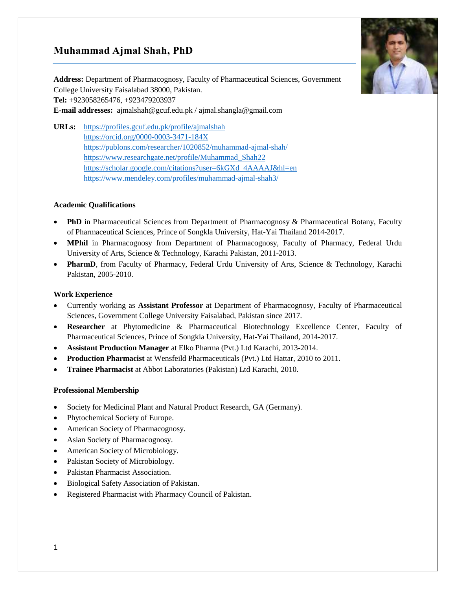# **Muhammad Ajmal Shah, PhD**



**Address:** Department of Pharmacognosy, Faculty of Pharmaceutical Sciences, Government College University Faisalabad 38000, Pakistan. **Tel:** +923058265476, +923479203937 **E-mail addresses:** [ajmalshah@gcuf.edu.pk](mailto:ajmalshah@gcuf.edu.pk) / [ajmal.shangla@gmail.com](mailto:ajmal.shangla@gmail.com) 

**URLs:** <https://profiles.gcuf.edu.pk/profile/ajmalshah> <https://orcid.org/0000-0003-3471-184X> <https://publons.com/researcher/1020852/muhammad-ajmal-shah/> [https://www.researchgate.net/profile/Muhammad\\_Shah22](https://www.researchgate.net/profile/Muhammad_Shah22) [https://scholar.google.com/citations?user=6kGXd\\_4AAAAJ&hl=en](https://scholar.google.com/citations?user=6kGXd_4AAAAJ&hl=en) <https://www.mendeley.com/profiles/muhammad-ajmal-shah3/>

# **Academic Qualifications**

- **PhD** in Pharmaceutical Sciences from Department of Pharmacognosy & Pharmaceutical Botany, Faculty of Pharmaceutical Sciences, Prince of Songkla University, Hat-Yai Thailand 2014-2017.
- **MPhil** in Pharmacognosy from Department of Pharmacognosy, Faculty of Pharmacy, Federal Urdu University of Arts, Science & Technology, Karachi Pakistan, 2011-2013.
- **PharmD**, from Faculty of Pharmacy, Federal Urdu University of Arts, Science & Technology, Karachi Pakistan, 2005-2010.

#### **Work Experience**

- Currently working as **Assistant Professor** at Department of Pharmacognosy, Faculty of Pharmaceutical Sciences, Government College University Faisalabad, Pakistan since 2017.
- **Researcher** at Phytomedicine & Pharmaceutical Biotechnology Excellence Center, Faculty of Pharmaceutical Sciences, Prince of Songkla University, Hat-Yai Thailand, 2014-2017.
- **Assistant Production Manager** at Elko Pharma (Pvt.) Ltd Karachi, 2013-2014.
- **Production Pharmacist** at Wensfeild Pharmaceuticals (Pvt.) Ltd Hattar, 2010 to 2011.
- **Trainee Pharmacist** at Abbot Laboratories (Pakistan) Ltd Karachi, 2010.

#### **Professional Membership**

- Society for Medicinal Plant and Natural Product Research, GA (Germany).
- Phytochemical Society of Europe.
- American Society of Pharmacognosy.
- Asian Society of Pharmacognosy.
- American Society of Microbiology.
- Pakistan Society of Microbiology.
- Pakistan Pharmacist Association.
- Biological Safety Association of Pakistan.
- Registered Pharmacist with Pharmacy Council of Pakistan.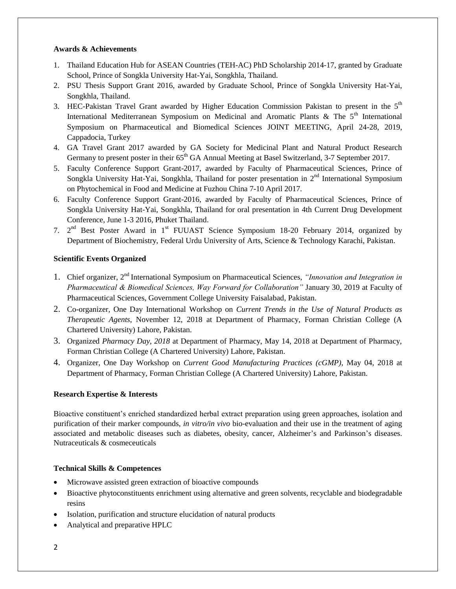## **Awards & Achievements**

- 1. Thailand Education Hub for ASEAN Countries (TEH-AC) PhD Scholarship 2014-17, granted by Graduate School, Prince of Songkla University Hat-Yai, Songkhla, Thailand.
- 2. PSU Thesis Support Grant 2016, awarded by Graduate School, Prince of Songkla University Hat-Yai, Songkhla, Thailand.
- 3. HEC-Pakistan Travel Grant awarded by Higher Education Commission Pakistan to present in the  $5<sup>th</sup>$ International Mediterranean Symposium on Medicinal and Aromatic Plants & The  $5<sup>th</sup>$  International Symposium on Pharmaceutical and Biomedical Sciences JOINT MEETING, April 24-28, 2019, Cappadocia, Turkey
- 4. GA Travel Grant 2017 awarded by GA Society for Medicinal Plant and Natural Product Research Germany to present poster in their 65<sup>th</sup> GA Annual Meeting at Basel Switzerland, 3-7 September 2017.
- 5. Faculty Conference Support Grant-2017, awarded by Faculty of Pharmaceutical Sciences, Prince of Songkla University Hat-Yai, Songkhla, Thailand for poster presentation in  $2<sup>nd</sup>$  International Symposium on Phytochemical in Food and Medicine at Fuzhou China 7-10 April 2017.
- 6. Faculty Conference Support Grant-2016, awarded by Faculty of Pharmaceutical Sciences, Prince of Songkla University Hat-Yai, Songkhla, Thailand for oral presentation in 4th Current Drug Development Conference, June 1-3 2016, Phuket Thailand.
- 7.  $2<sup>nd</sup>$  Best Poster Award in 1<sup>st</sup> FUUAST Science Symposium 18-20 February 2014, organized by Department of Biochemistry, Federal Urdu University of Arts, Science & Technology Karachi, Pakistan.

# **Scientific Events Organized**

- 1. Chief organizer, 2nd International Symposium on Pharmaceutical Sciences, *"Innovation and Integration in Pharmaceutical & Biomedical Sciences, Way Forward for Collaboration"* January 30, 2019 at Faculty of Pharmaceutical Sciences, Government College University Faisalabad, Pakistan.
- 2. Co-organizer, One Day International Workshop on *Current Trends in the Use of Natural Products as Therapeutic Agents*, November 12, 2018 at Department of Pharmacy, Forman Christian College (A Chartered University) Lahore, Pakistan.
- 3. Organized *Pharmacy Day, 2018* at Department of Pharmacy, May 14, 2018 at Department of Pharmacy, Forman Christian College (A Chartered University) Lahore, Pakistan.
- 4. Organizer, One Day Workshop on *Current Good Manufacturing Practices (cGMP)*, May 04, 2018 at Department of Pharmacy, Forman Christian College (A Chartered University) Lahore, Pakistan.

# **Research Expertise & Interests**

Bioactive constituent's enriched standardized herbal extract preparation using green approaches, isolation and purification of their marker compounds, *in vitro/in vivo* bio-evaluation and their use in the treatment of aging associated and metabolic diseases such as diabetes, obesity, cancer, Alzheimer's and Parkinson's diseases. Nutraceuticals & cosmeceuticals

# **Technical Skills & Competences**

- Microwave assisted green extraction of bioactive compounds
- Bioactive phytoconstituents enrichment using alternative and green solvents, recyclable and biodegradable resins
- Isolation, purification and structure elucidation of natural products
- Analytical and preparative HPLC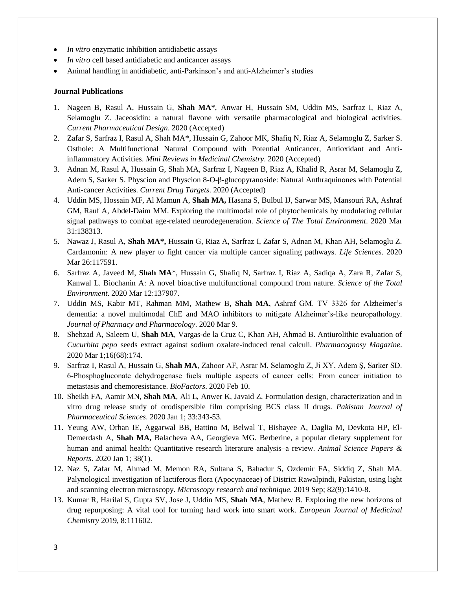- *In vitro* enzymatic inhibition antidiabetic assays
- *In vitro* cell based antidiabetic and anticancer assays
- Animal handling in antidiabetic, anti-Parkinson's and anti-Alzheimer's studies

#### **Journal Publications**

- 1. Nageen B, Rasul A, Hussain G, **Shah MA**\*, Anwar H, Hussain SM, Uddin MS, Sarfraz I, Riaz A, Selamoglu Z. Jaceosidin: a natural flavone with versatile pharmacological and biological activities. *Current Pharmaceutical Design*. 2020 (Accepted)
- 2. Zafar S, Sarfraz I, Rasul A, Shah MA\*, Hussain G, Zahoor MK, Shafiq N, Riaz A, Selamoglu Z, Sarker S. Osthole: A Multifunctional Natural Compound with Potential Anticancer, Antioxidant and Antiinflammatory Activities. *Mini Reviews in Medicinal Chemistry*. 2020 (Accepted)
- 3. Adnan M, Rasul A, Hussain G, Shah MA, Sarfraz I, Nageen B, Riaz A, Khalid R, Asrar M, Selamoglu Z, Adem S, Sarker S. Physcion and Physcion 8-O-β-glucopyranoside: Natural Anthraquinones with Potential Anti-cancer Activities. *Current Drug Targets*. 2020 (Accepted)
- 4. Uddin MS, Hossain MF, Al Mamun A, **Shah MA,** Hasana S, Bulbul IJ, Sarwar MS, Mansouri RA, Ashraf GM, Rauf A, Abdel-Daim MM. Exploring the multimodal role of phytochemicals by modulating cellular signal pathways to combat age-related neurodegeneration. *Science of The Total Environment*. 2020 Mar 31:138313.
- 5. Nawaz J, Rasul A, **Shah MA\*,** Hussain G, Riaz A, Sarfraz I, Zafar S, Adnan M, Khan AH, Selamoglu Z. Cardamonin: A new player to fight cancer via multiple cancer signaling pathways. *Life Sciences*. 2020 Mar 26:117591.
- 6. Sarfraz A, Javeed M, **Shah MA**\*, Hussain G, Shafiq N, Sarfraz I, Riaz A, Sadiqa A, Zara R, Zafar S, Kanwal L. Biochanin A: A novel bioactive multifunctional compound from nature. *Science of the Total Environment*. 2020 Mar 12:137907.
- 7. Uddin MS, Kabir MT, Rahman MM, Mathew B, **Shah MA**, Ashraf GM. TV 3326 for Alzheimer's dementia: a novel multimodal ChE and MAO inhibitors to mitigate Alzheimer's‐like neuropathology. *Journal of Pharmacy and Pharmacology*. 2020 Mar 9.
- 8. Shehzad A, Saleem U, **Shah MA**, Vargas-de la Cruz C, Khan AH, Ahmad B. Antiurolithic evaluation of *Cucurbita pepo* seeds extract against sodium oxalate-induced renal calculi. *Pharmacognosy Magazine*. 2020 Mar 1;16(68):174.
- 9. Sarfraz I, Rasul A, Hussain G, **Shah MA**, Zahoor AF, Asrar M, Selamoglu Z, Ji XY, Adem Ş, Sarker SD. 6‐Phosphogluconate dehydrogenase fuels multiple aspects of cancer cells: From cancer initiation to metastasis and chemoresistance. *BioFactors*. 2020 Feb 10.
- 10. Sheikh FA, Aamir MN, **Shah MA**, Ali L, Anwer K, Javaid Z. Formulation design, characterization and in vitro drug release study of orodispersible film comprising BCS class II drugs. *Pakistan Journal of Pharmaceutical Sciences*. 2020 Jan 1; 33:343-53.
- 11. Yeung AW, Orhan IE, Aggarwal BB, Battino M, Belwal T, Bishayee A, Daglia M, Devkota HP, El-Demerdash A, **Shah MA,** Balacheva AA, Georgieva MG. Berberine, a popular dietary supplement for human and animal health: Quantitative research literature analysis–a review. *Animal Science Papers & Reports*. 2020 Jan 1; 38(1).
- 12. Naz S, Zafar M, Ahmad M, Memon RA, Sultana S, Bahadur S, Ozdemir FA, Siddiq Z, Shah MA. Palynological investigation of lactiferous flora (Apocynaceae) of District Rawalpindi, Pakistan, using light and scanning electron microscopy. *Microscopy research and technique*. 2019 Sep; 82(9):1410-8.
- 13. Kumar R, Harilal S, Gupta SV, Jose J, Uddin MS, **Shah MA**, Mathew B. Exploring the new horizons of drug repurposing: A vital tool for turning hard work into smart work. *European Journal of Medicinal Chemistry* 2019, 8:111602.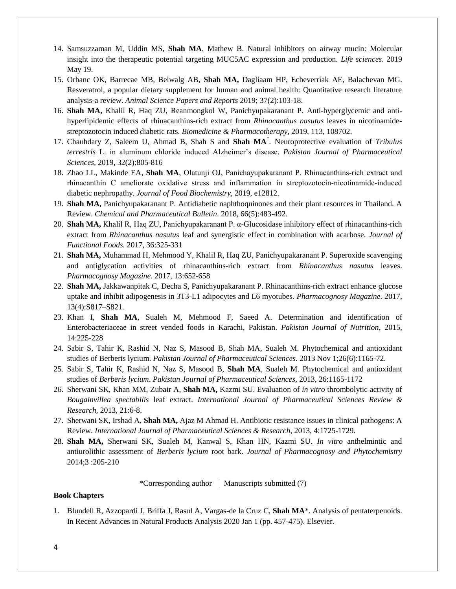- 14. Samsuzzaman M, Uddin MS, **Shah MA**, Mathew B. Natural inhibitors on airway mucin: Molecular insight into the therapeutic potential targeting MUC5AC expression and production. *Life sciences*. 2019 May 19.
- 15. Orhanc OK, Barrecae MB, Belwalg AB, **Shah MA,** Dagliaam HP, Echeverríak AE, Balachevan MG. Resveratrol, a popular dietary supplement for human and animal health: Quantitative research literature analysis-a review. *Animal Science Papers and Reports* 2019; 37(2):103-18.
- 16. **Shah MA,** Khalil R, Haq ZU, Reanmongkol W, Panichyupakaranant P. Anti-hyperglycemic and antihyperlipidemic effects of rhinacanthins-rich extract from *Rhinacanthus nasutus* leaves in nicotinamidestreptozotocin induced diabetic rats. *Biomedicine & Pharmacotherapy,* 2019, 113, 108702.
- 17. Chauhdary Z, Saleem U, Ahmad B, Shah S and **Shah MA**\* . Neuroprotective evaluation of *Tribulus terrestris* L. in aluminum chloride induced Alzheimer's disease. *Pakistan Journal of Pharmaceutical Sciences,* 2019, 32(2):805-816
- 18. Zhao LL, Makinde EA, **Shah MA**, Olatunji OJ, Panichayupakaranant P. Rhinacanthins‐rich extract and rhinacanthin C ameliorate oxidative stress and inflammation in streptozotocin‐nicotinamide‐induced diabetic nephropathy. *Journal of Food Biochemistry,* 2019, e12812.
- 19. **Shah MA,** Panichyupakaranant P. Antidiabetic naphthoquinones and their plant resources in Thailand. A Review. *Chemical and Pharmaceutical Bulletin*. 2018, 66(5):483-492.
- 20. **Shah MA,** Khalil R, Haq ZU, Panichyupakaranant P. α-Glucosidase inhibitory effect of rhinacanthins-rich extract from *Rhinacanthus nasutus* leaf and synergistic effect in combination with acarbose. *Journal of Functional Foods.* 2017, 36:325-331
- 21. **Shah MA,** Muhammad H, Mehmood Y, Khalil R, Haq ZU, Panichyupakaranant P. Superoxide scavenging and antiglycation activities of rhinacanthins-rich extract from *Rhinacanthus nasutus* leaves. *Pharmacognosy Magazine.* 2017, 13:652-658
- 22. **Shah MA,** Jakkawanpitak C, Decha S, Panichyupakaranant P. Rhinacanthins-rich extract enhance glucose uptake and inhibit adipogenesis in 3T3-L1 adipocytes and L6 myotubes. *Pharmacognosy Magazine.* 2017, 13(4):S817–S821.
- 23. Khan I, **Shah MA**, Sualeh M, Mehmood F, Saeed A. Determination and identification of Enterobacteriaceae in street vended foods in Karachi, Pakistan. *Pakistan Journal of Nutrition*, 2015, 14:225-228
- 24. Sabir S, Tahir K, Rashid N, Naz S, Masood B, Shah MA, Sualeh M. Phytochemical and antioxidant studies of Berberis lycium. *Pakistan Journal of Pharmaceutical Sciences*. 2013 Nov 1;26(6):1165-72.
- 25. Sabir S, Tahir K, Rashid N, Naz S, Masood B, **Shah MA**, Sualeh M. Phytochemical and antioxidant studies of *Berberis lycium*. *Pakistan Journal of Pharmaceutical Sciences,* 2013, 26:1165-1172
- 26. Sherwani SK, Khan MM, Zubair A, **Shah MA,** Kazmi SU. Evaluation of *in vitro* [thrombolytic activity of](http://www.academia.edu/4084715/Evaluation_of_In_Vitro_Thrombolytic_Activity_of_Bougainvillea_Spectabilis_Leaf_Extract)  *[Bougainvillea spectabilis](http://www.academia.edu/4084715/Evaluation_of_In_Vitro_Thrombolytic_Activity_of_Bougainvillea_Spectabilis_Leaf_Extract)* leaf extract. *International Journal of Pharmaceutical Sciences Review & Research*, 2013, 21:6-8.
- 27. Sherwani SK, Irshad A, **Shah MA,** Ajaz M Ahmad H. Antibiotic resistance issues in clinical pathogens: A Review. *International Journal of Pharmaceutical Sciences & Research*, 2013, 4:1725-1729.
- 28. **Shah MA,** Sherwani SK, Sualeh M, Kanwal S, Khan HN, Kazmi SU. *In vitro* anthelmintic and antiurolithic assessment of *Berberis lycium* root bark. *Journal of Pharmacognosy and Phytochemistry* 2014;3 :205-210

\*Corresponding author  $\parallel$  Manuscripts submitted (7)

### **Book Chapters**

1. Blundell R, Azzopardi J, Briffa J, Rasul A, Vargas-de la Cruz C, **Shah MA**\*. Analysis of pentaterpenoids. In Recent Advances in Natural Products Analysis 2020 Jan 1 (pp. 457-475). Elsevier.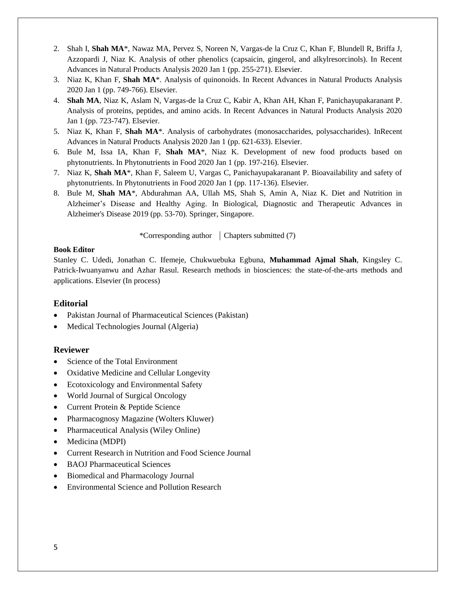- 2. Shah I, **Shah MA**\*, Nawaz MA, Pervez S, Noreen N, Vargas-de la Cruz C, Khan F, Blundell R, Briffa J, Azzopardi J, Niaz K. Analysis of other phenolics (capsaicin, gingerol, and alkylresorcinols). In Recent Advances in Natural Products Analysis 2020 Jan 1 (pp. 255-271). Elsevier.
- 3. Niaz K, Khan F, **Shah MA**\*. Analysis of quinonoids. In Recent Advances in Natural Products Analysis 2020 Jan 1 (pp. 749-766). Elsevier.
- 4. **Shah MA**, Niaz K, Aslam N, Vargas-de la Cruz C, Kabir A, Khan AH, Khan F, Panichayupakaranant P. Analysis of proteins, peptides, and amino acids. In Recent Advances in Natural Products Analysis 2020 Jan 1 (pp. 723-747). Elsevier.
- 5. Niaz K, Khan F, **Shah MA**\*. Analysis of carbohydrates (monosaccharides, polysaccharides). InRecent Advances in Natural Products Analysis 2020 Jan 1 (pp. 621-633). Elsevier.
- 6. Bule M, Issa IA, Khan F, **Shah MA**\*, Niaz K. Development of new food products based on phytonutrients. In Phytonutrients in Food 2020 Jan 1 (pp. 197-216). Elsevier.
- 7. Niaz K, **Shah MA**\*, Khan F, Saleem U, Vargas C, Panichayupakaranant P. Bioavailability and safety of phytonutrients. In Phytonutrients in Food 2020 Jan 1 (pp. 117-136). Elsevier.
- 8. Bule M, **Shah MA**\*, Abdurahman AA, Ullah MS, Shah S, Amin A, Niaz K. Diet and Nutrition in Alzheimer's Disease and Healthy Aging. In Biological, Diagnostic and Therapeutic Advances in Alzheimer's Disease 2019 (pp. 53-70). Springer, Singapore.

\*Corresponding author  $\vert$  Chapters submitted (7)

#### **Book Editor**

Stanley C. Udedi, Jonathan C. Ifemeje, Chukwuebuka Egbuna, **Muhammad Ajmal Shah**, Kingsley C. Patrick-Iwuanyanwu and Azhar Rasul. Research methods in biosciences: the state-of-the-arts methods and applications. Elsevier (In process)

# **Editorial**

- Pakistan Journal of Pharmaceutical Sciences (Pakistan)
- Medical Technologies Journal (Algeria)

## **Reviewer**

- Science of the Total Environment
- Oxidative Medicine and Cellular Longevity
- Ecotoxicology and Environmental Safety
- World Journal of Surgical Oncology
- Current Protein & Peptide Science
- Pharmacognosy Magazine (Wolters Kluwer)
- Pharmaceutical Analysis (Wiley Online)
- Medicina (MDPI)
- Current Research in Nutrition and Food Science Journal
- BAOJ Pharmaceutical Sciences
- Biomedical and Pharmacology Journal
- Environmental Science and Pollution Research